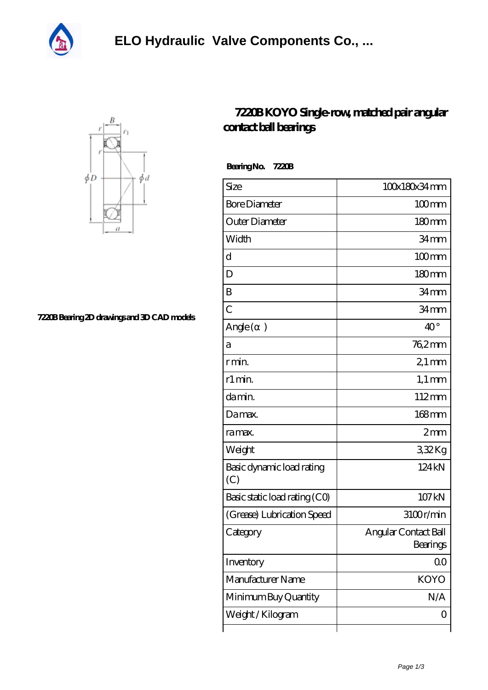



**[7220B Bearing 2D drawings and 3D CAD models](https://sherwud.org/pic-696145.html)**

## **[7220B KOYO Single-row, matched pair angular](https://sherwud.org/wide-series-cylindrical-roller-bearings/7220b.html) [contact ball bearings](https://sherwud.org/wide-series-cylindrical-roller-bearings/7220b.html)**

 **Bearing No. 7220B**

| Size                             | 100x180x34mm                     |
|----------------------------------|----------------------------------|
| <b>Bore Diameter</b>             | $100$ <sub>mm</sub>              |
| Outer Diameter                   | $180 \text{mm}$                  |
| Width                            | 34mm                             |
| d                                | $100$ mm                         |
| D                                | $180 \text{mm}$                  |
| B                                | 34 <sub>mm</sub>                 |
| $\overline{C}$                   | 34 <sub>mm</sub>                 |
| Angle (<br>$\mathcal{E}$         | $40^{\circ}$                     |
| а                                | 762mm                            |
| r min.                           | $21$ mm                          |
| r1 min.                          | $1,1 \text{ mm}$                 |
| da min.                          | 112mm                            |
| Damax.                           | $168$ mm                         |
| ra max.                          | 2mm                              |
| Weight                           | 332Kg                            |
| Basic dynamic load rating<br>(C) | 124 kN                           |
| Basic static load rating (CO)    | 107 kN                           |
| (Grease) Lubrication Speed       | 3100r/min                        |
| Category                         | Angular Contact Ball<br>Bearings |
| Inventory                        | 00                               |
| Manufacturer Name                | <b>KOYO</b>                      |
| Minimum Buy Quantity             | N/A                              |
| Weight / Kilogram                | Ο                                |
|                                  |                                  |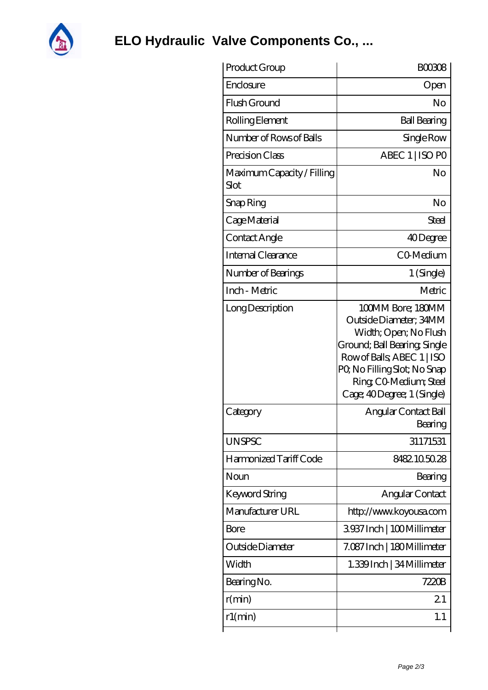

## **[ELO Hydraulic Valve Components Co., ...](https://sherwud.org)**

| Product Group                      | <b>BOO308</b>                                                                                                                                                                                                            |
|------------------------------------|--------------------------------------------------------------------------------------------------------------------------------------------------------------------------------------------------------------------------|
| Enclosure                          | Open                                                                                                                                                                                                                     |
| Flush Ground                       | No                                                                                                                                                                                                                       |
| Rolling Element                    | <b>Ball Bearing</b>                                                                                                                                                                                                      |
| Number of Rows of Balls            | Single Row                                                                                                                                                                                                               |
| Precision Class                    | ABEC 1   ISO PO                                                                                                                                                                                                          |
| Maximum Capacity / Filling<br>Slot | No                                                                                                                                                                                                                       |
| Snap Ring                          | No                                                                                                                                                                                                                       |
| Cage Material                      | Steel                                                                                                                                                                                                                    |
| Contact Angle                      | 40Degree                                                                                                                                                                                                                 |
| Internal Clearance                 | CO-Medium                                                                                                                                                                                                                |
| Number of Bearings                 | $1$ (Single)                                                                                                                                                                                                             |
| Inch - Metric                      | Metric                                                                                                                                                                                                                   |
| Long Description                   | 100MM Bore; 180MM<br>Outside Diameter; 34MM<br>Width; Open; No Flush<br>Ground; Ball Bearing; Single<br>Row of Balls, ABEC 1   ISO<br>PQ No Filling Slot; No Snap<br>Ring CO Medium; Steel<br>Cage; 40Degree; 1 (Single) |
| Category                           | Angular Contact Ball<br>Bearing                                                                                                                                                                                          |
| <b>UNSPSC</b>                      | 31171531                                                                                                                                                                                                                 |
| Harmonized Tariff Code             | 8482105028                                                                                                                                                                                                               |
| Noun                               | Bearing                                                                                                                                                                                                                  |
| Keyword String                     | Angular Contact                                                                                                                                                                                                          |
| Manufacturer URL                   | http://www.koyousa.com                                                                                                                                                                                                   |
| Bore                               | 3937Inch   100Millimeter                                                                                                                                                                                                 |
| Outside Diameter                   | 7.087 Inch   180 Millimeter                                                                                                                                                                                              |
| Width                              | 1.339 Inch   34 Millimeter                                                                                                                                                                                               |
| Bearing No.                        | 7220B                                                                                                                                                                                                                    |
| r(min)                             | 21                                                                                                                                                                                                                       |
| r1(min)                            | 1.1                                                                                                                                                                                                                      |
|                                    |                                                                                                                                                                                                                          |